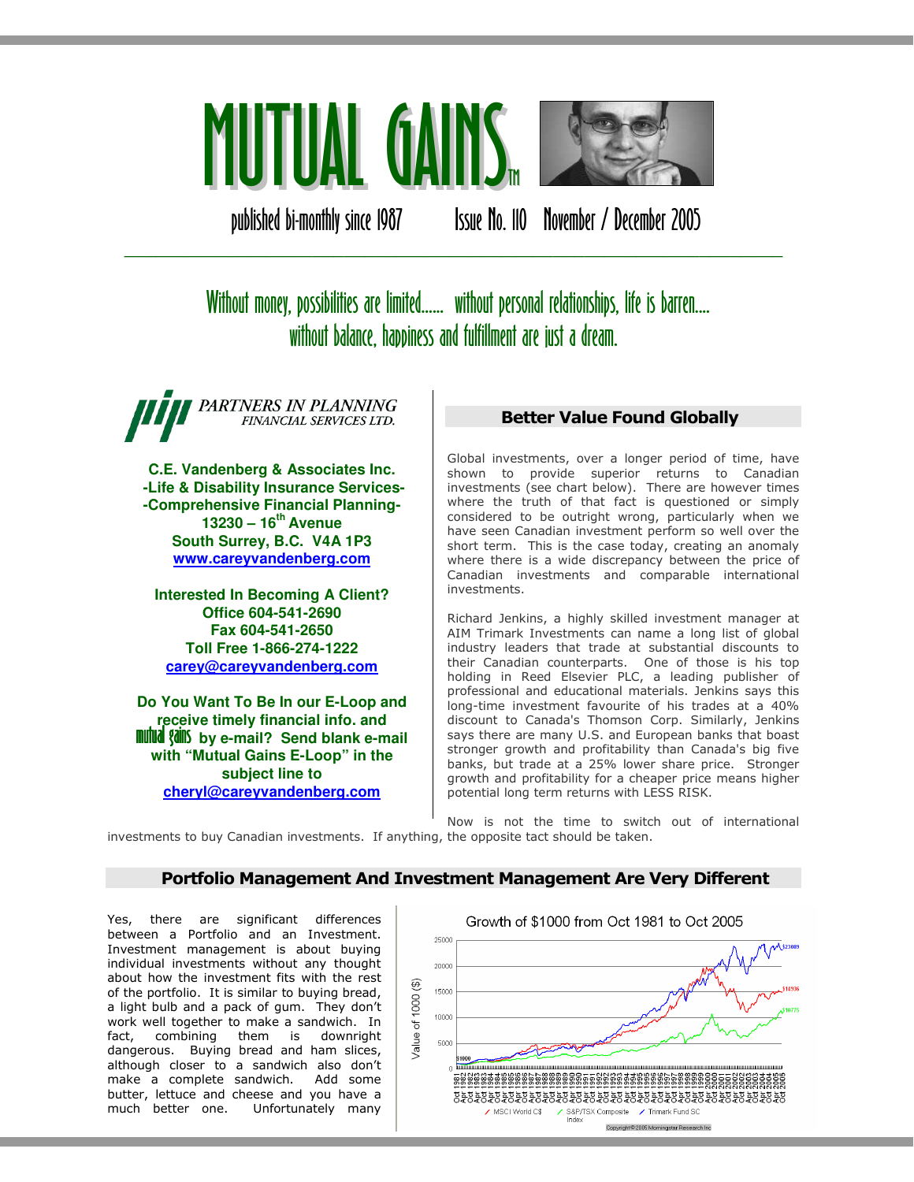

published bi-monthly since 1987 Issue No. 110 November / December 2005

# Without money, possibilities are limited...... without personal relationships, life is barren.... without balance, happiness and fulfillment are just a dream.

\_\_\_\_\_\_\_\_\_\_\_\_\_\_\_\_\_\_\_\_\_\_\_\_\_\_\_\_\_\_\_\_\_\_\_\_\_\_\_\_\_\_\_\_\_\_\_\_\_\_\_\_\_\_\_\_\_\_\_\_\_\_\_

PARTNERS IN PLANNING FINANCIAL SERVICES LTD.

**C.E. Vandenberg & Associates Inc. -Life & Disability Insurance Services- -Comprehensive Financial Planning-13230 – 16th Avenue South Surrey, B.C. V4A 1P3 www.careyvandenberg.com**

**Interested In Becoming A Client? Office 604-541-2690 Fax 604-541-2650 Toll Free 1-866-274-1222 carey@careyvandenberg.com**

**Do You Want To Be In our E-Loop and receive timely financial info. and<br><b>mutual gains** by e-mail? Send blank e-mail **with "Mutual Gains E-Loop" in the subject line to cheryl@careyvandenberg.com**

# Better Value Found Globally

Global investments, over a longer period of time, have shown to provide superior returns to Canadian investments (see chart below). There are however times where the truth of that fact is questioned or simply considered to be outright wrong, particularly when we have seen Canadian investment perform so well over the short term. This is the case today, creating an anomaly where there is a wide discrepancy between the price of Canadian investments and comparable international investments.

Richard Jenkins, a highly skilled investment manager at AIM Trimark Investments can name a long list of global industry leaders that trade at substantial discounts to their Canadian counterparts. One of those is his top holding in Reed Elsevier PLC, a leading publisher of professional and educational materials. Jenkins says this long-time investment favourite of his trades at a 40% discount to Canada's Thomson Corp. Similarly, Jenkins says there are many U.S. and European banks that boast stronger growth and profitability than Canada's big five banks, but trade at a 25% lower share price. Stronger growth and profitability for a cheaper price means higher potential long term returns with LESS RISK.

Now is not the time to switch out of international investments to buy Canadian investments. If anything, the opposite tact should be taken.

# Portfolio Management And Investment Management Are Very Different

Yes, there are significant differences between a Portfolio and an Investment. Investment management is about buying individual investments without any thought about how the investment fits with the rest of the portfolio. It is similar to buying bread, a light bulb and a pack of gum. They don't work well together to make a sandwich. In fact, combining them is downright dangerous. Buying bread and ham slices, although closer to a sandwich also don't make a complete sandwich. Add some butter, lettuce and cheese and you have a<br>much better one. Unfortunately many Unfortunately many

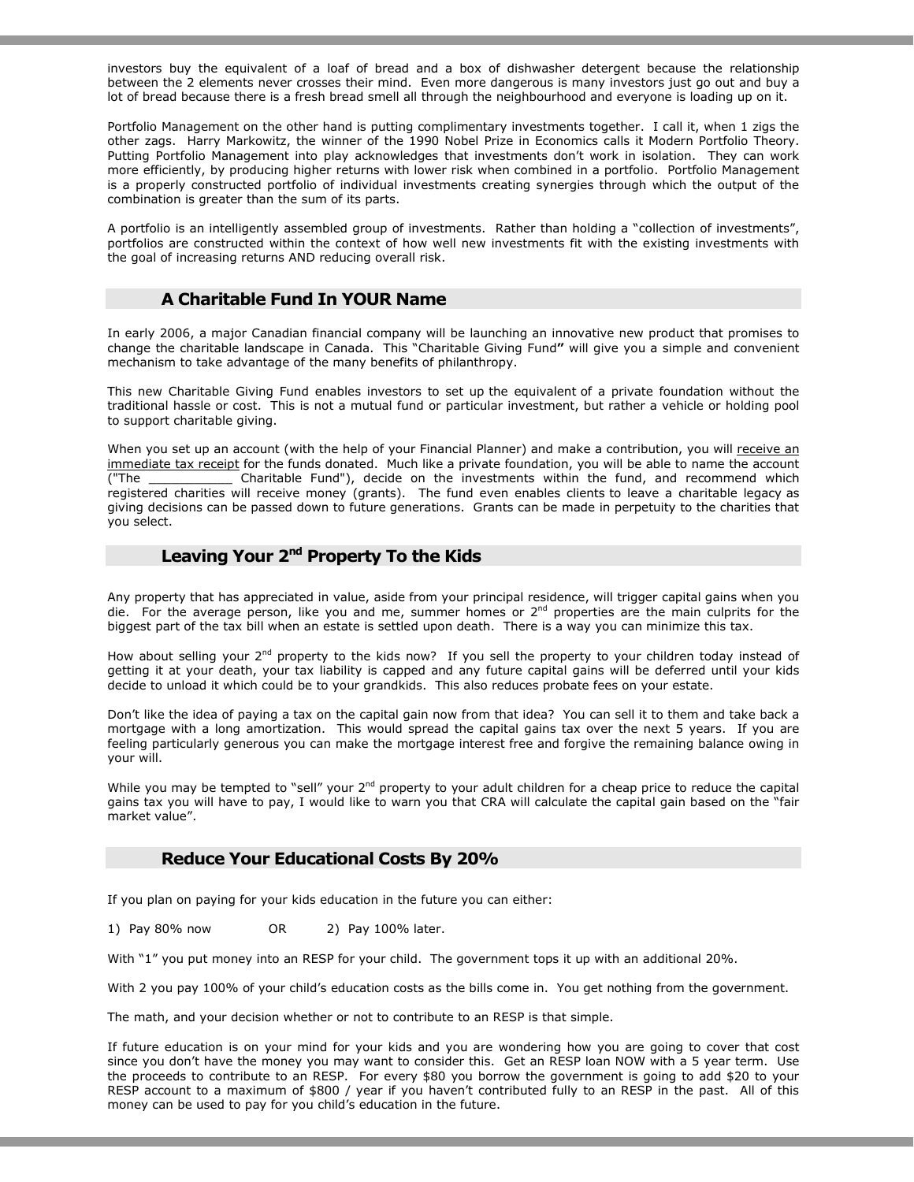investors buy the equivalent of a loaf of bread and a box of dishwasher detergent because the relationship between the 2 elements never crosses their mind. Even more dangerous is many investors just go out and buy a lot of bread because there is a fresh bread smell all through the neighbourhood and everyone is loading up on it.

Portfolio Management on the other hand is putting complimentary investments together. I call it, when 1 zigs the other zags. Harry Markowitz, the winner of the 1990 Nobel Prize in Economics calls it Modern Portfolio Theory. Putting Portfolio Management into play acknowledges that investments don't work in isolation. They can work more efficiently, by producing higher returns with lower risk when combined in a portfolio. Portfolio Management is a properly constructed portfolio of individual investments creating synergies through which the output of the combination is greater than the sum of its parts.

A portfolio is an intelligently assembled group of investments. Rather than holding a "collection of investments", portfolios are constructed within the context of how well new investments fit with the existing investments with the goal of increasing returns AND reducing overall risk.

### A Charitable Fund In YOUR Name

In early 2006, a major Canadian financial company will be launching an innovative new product that promises to change the charitable landscape in Canada. This "Charitable Giving Fund" will give you a simple and convenient mechanism to take advantage of the many benefits of philanthropy.

This new Charitable Giving Fund enables investors to set up the equivalent of a private foundation without the traditional hassle or cost. This is not a mutual fund or particular investment, but rather a vehicle or holding pool to support charitable giving.

When you set up an account (with the help of your Financial Planner) and make a contribution, you will receive an immediate tax receipt for the funds donated. Much like a private foundation, you will be able to name the account ("The \_\_\_\_\_\_\_\_\_\_\_ Charitable Fund"), decide on the investments within the fund, and recommend which registered charities will receive money (grants). The fund even enables clients to leave a charitable legacy as giving decisions can be passed down to future generations. Grants can be made in perpetuity to the charities that you select.

## Leaving Your 2<sup>nd</sup> Property To the Kids

Any property that has appreciated in value, aside from your principal residence, will trigger capital gains when you die. For the average person, like you and me, summer homes or  $2<sup>nd</sup>$  properties are the main culprits for the biggest part of the tax bill when an estate is settled upon death. There is a way you can minimize this tax.

How about selling your 2<sup>nd</sup> property to the kids now? If you sell the property to your children today instead of getting it at your death, your tax liability is capped and any future capital gains will be deferred until your kids decide to unload it which could be to your grandkids. This also reduces probate fees on your estate.

Don't like the idea of paying a tax on the capital gain now from that idea? You can sell it to them and take back a mortgage with a long amortization. This would spread the capital gains tax over the next 5 years. If you are feeling particularly generous you can make the mortgage interest free and forgive the remaining balance owing in your will.

While you may be tempted to "sell" your  $2^{nd}$  property to your adult children for a cheap price to reduce the capital gains tax you will have to pay, I would like to warn you that CRA will calculate the capital gain based on the "fair market value".

#### Reduce Your Educational Costs By 20%

If you plan on paying for your kids education in the future you can either:

1) Pay 80% now OR 2) Pay 100% later.

With "1" you put money into an RESP for your child. The government tops it up with an additional 20%.

With 2 you pay 100% of your child's education costs as the bills come in. You get nothing from the government.

The math, and your decision whether or not to contribute to an RESP is that simple.

If future education is on your mind for your kids and you are wondering how you are going to cover that cost since you don't have the money you may want to consider this. Get an RESP loan NOW with a 5 year term. Use the proceeds to contribute to an RESP. For every \$80 you borrow the government is going to add \$20 to your RESP account to a maximum of \$800 / year if you haven't contributed fully to an RESP in the past. All of this money can be used to pay for you child's education in the future.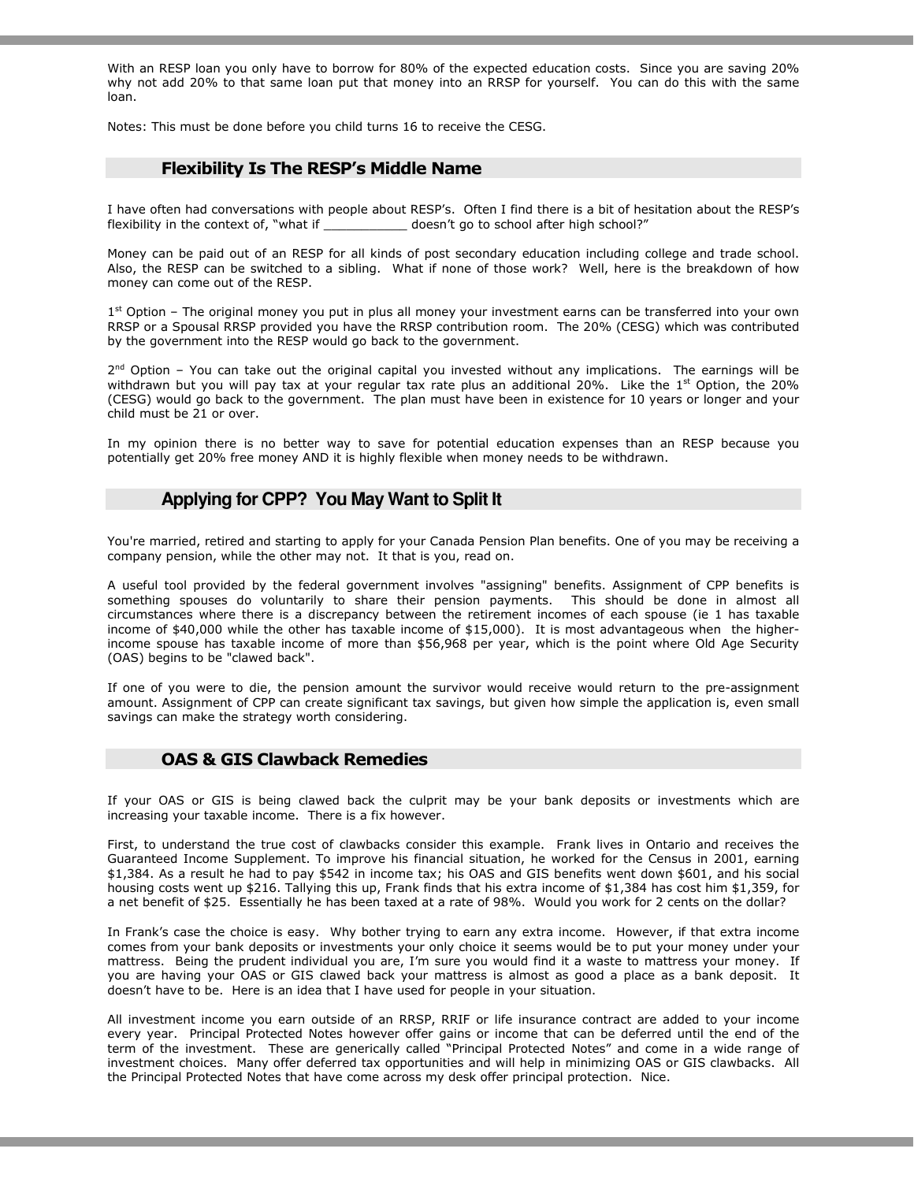With an RESP loan you only have to borrow for 80% of the expected education costs. Since you are saving 20% why not add 20% to that same loan put that money into an RRSP for yourself. You can do this with the same loan.

Notes: This must be done before you child turns 16 to receive the CESG.

## Flexibility Is The RESP's Middle Name

I have often had conversations with people about RESP's. Often I find there is a bit of hesitation about the RESP's flexibility in the context of, "what if  $\qquad \qquad$  doesn't go to school after high school?"

Money can be paid out of an RESP for all kinds of post secondary education including college and trade school. Also, the RESP can be switched to a sibling. What if none of those work? Well, here is the breakdown of how money can come out of the RESP.

1<sup>st</sup> Option – The original money you put in plus all money your investment earns can be transferred into your own RRSP or a Spousal RRSP provided you have the RRSP contribution room. The 20% (CESG) which was contributed by the government into the RESP would go back to the government.

2<sup>nd</sup> Option – You can take out the original capital you invested without any implications. The earnings will be withdrawn but you will pay tax at your regular tax rate plus an additional 20%. Like the  $1<sup>st</sup>$  Option, the 20% (CESG) would go back to the government. The plan must have been in existence for 10 years or longer and your child must be 21 or over.

In my opinion there is no better way to save for potential education expenses than an RESP because you potentially get 20% free money AND it is highly flexible when money needs to be withdrawn.

## **Applying for CPP? You May Want to Split It**

You're married, retired and starting to apply for your Canada Pension Plan benefits. One of you may be receiving a company pension, while the other may not. It that is you, read on.

A useful tool provided by the federal government involves "assigning" benefits. Assignment of CPP benefits is something spouses do voluntarily to share their pension payments. This should be done in almost all circumstances where there is a discrepancy between the retirement incomes of each spouse (ie 1 has taxable income of \$40,000 while the other has taxable income of \$15,000). It is most advantageous when the higherincome spouse has taxable income of more than \$56,968 per year, which is the point where Old Age Security (OAS) begins to be "clawed back".

If one of you were to die, the pension amount the survivor would receive would return to the pre-assignment amount. Assignment of CPP can create significant tax savings, but given how simple the application is, even small savings can make the strategy worth considering.

## OAS & GIS Clawback Remedies

If your OAS or GIS is being clawed back the culprit may be your bank deposits or investments which are increasing your taxable income. There is a fix however.

First, to understand the true cost of clawbacks consider this example. Frank lives in Ontario and receives the Guaranteed Income Supplement. To improve his financial situation, he worked for the Census in 2001, earning \$1,384. As a result he had to pay \$542 in income tax; his OAS and GIS benefits went down \$601, and his social housing costs went up \$216. Tallying this up, Frank finds that his extra income of \$1,384 has cost him \$1,359, for a net benefit of \$25. Essentially he has been taxed at a rate of 98%. Would you work for 2 cents on the dollar?

In Frank's case the choice is easy. Why bother trying to earn any extra income. However, if that extra income comes from your bank deposits or investments your only choice it seems would be to put your money under your mattress. Being the prudent individual you are, I'm sure you would find it a waste to mattress your money. If you are having your OAS or GIS clawed back your mattress is almost as good a place as a bank deposit. It doesn't have to be. Here is an idea that I have used for people in your situation.

All investment income you earn outside of an RRSP, RRIF or life insurance contract are added to your income every year. Principal Protected Notes however offer gains or income that can be deferred until the end of the term of the investment. These are generically called "Principal Protected Notes" and come in a wide range of investment choices. Many offer deferred tax opportunities and will help in minimizing OAS or GIS clawbacks. All the Principal Protected Notes that have come across my desk offer principal protection. Nice.